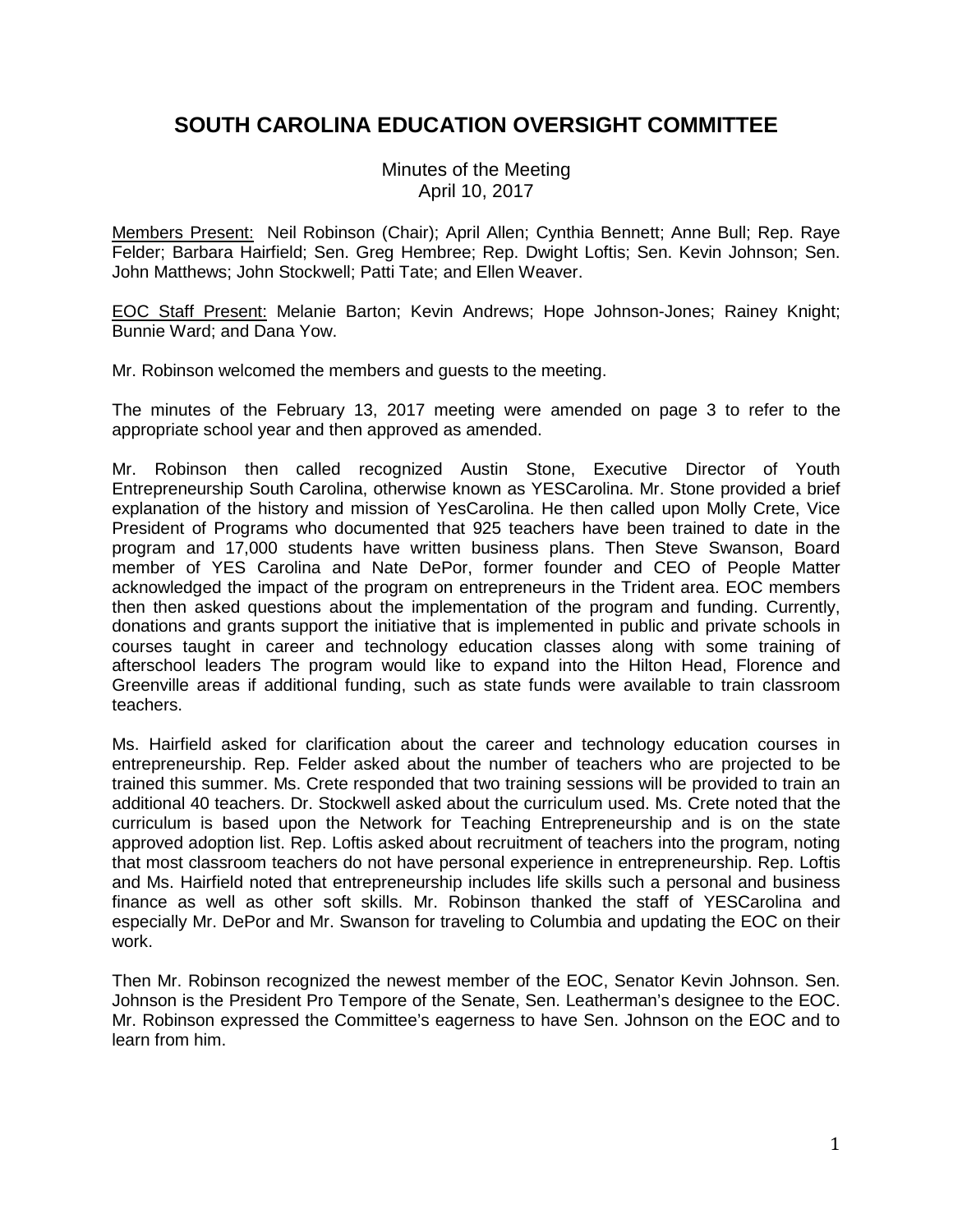# **SOUTH CAROLINA EDUCATION OVERSIGHT COMMITTEE**

Minutes of the Meeting April 10, 2017

Members Present: Neil Robinson (Chair); April Allen; Cynthia Bennett; Anne Bull; Rep. Raye Felder; Barbara Hairfield; Sen. Greg Hembree; Rep. Dwight Loftis; Sen. Kevin Johnson; Sen. John Matthews; John Stockwell; Patti Tate; and Ellen Weaver.

EOC Staff Present: Melanie Barton; Kevin Andrews; Hope Johnson-Jones; Rainey Knight; Bunnie Ward; and Dana Yow.

Mr. Robinson welcomed the members and guests to the meeting.

The minutes of the February 13, 2017 meeting were amended on page 3 to refer to the appropriate school year and then approved as amended.

Mr. Robinson then called recognized Austin Stone, Executive Director of Youth Entrepreneurship South Carolina, otherwise known as YESCarolina. Mr. Stone provided a brief explanation of the history and mission of YesCarolina. He then called upon Molly Crete, Vice President of Programs who documented that 925 teachers have been trained to date in the program and 17,000 students have written business plans. Then Steve Swanson, Board member of YES Carolina and Nate DePor, former founder and CEO of People Matter acknowledged the impact of the program on entrepreneurs in the Trident area. EOC members then then asked questions about the implementation of the program and funding. Currently, donations and grants support the initiative that is implemented in public and private schools in courses taught in career and technology education classes along with some training of afterschool leaders The program would like to expand into the Hilton Head, Florence and Greenville areas if additional funding, such as state funds were available to train classroom teachers.

Ms. Hairfield asked for clarification about the career and technology education courses in entrepreneurship. Rep. Felder asked about the number of teachers who are projected to be trained this summer. Ms. Crete responded that two training sessions will be provided to train an additional 40 teachers. Dr. Stockwell asked about the curriculum used. Ms. Crete noted that the curriculum is based upon the Network for Teaching Entrepreneurship and is on the state approved adoption list. Rep. Loftis asked about recruitment of teachers into the program, noting that most classroom teachers do not have personal experience in entrepreneurship. Rep. Loftis and Ms. Hairfield noted that entrepreneurship includes life skills such a personal and business finance as well as other soft skills. Mr. Robinson thanked the staff of YESCarolina and especially Mr. DePor and Mr. Swanson for traveling to Columbia and updating the EOC on their work.

Then Mr. Robinson recognized the newest member of the EOC, Senator Kevin Johnson. Sen. Johnson is the President Pro Tempore of the Senate, Sen. Leatherman's designee to the EOC. Mr. Robinson expressed the Committee's eagerness to have Sen. Johnson on the EOC and to learn from him.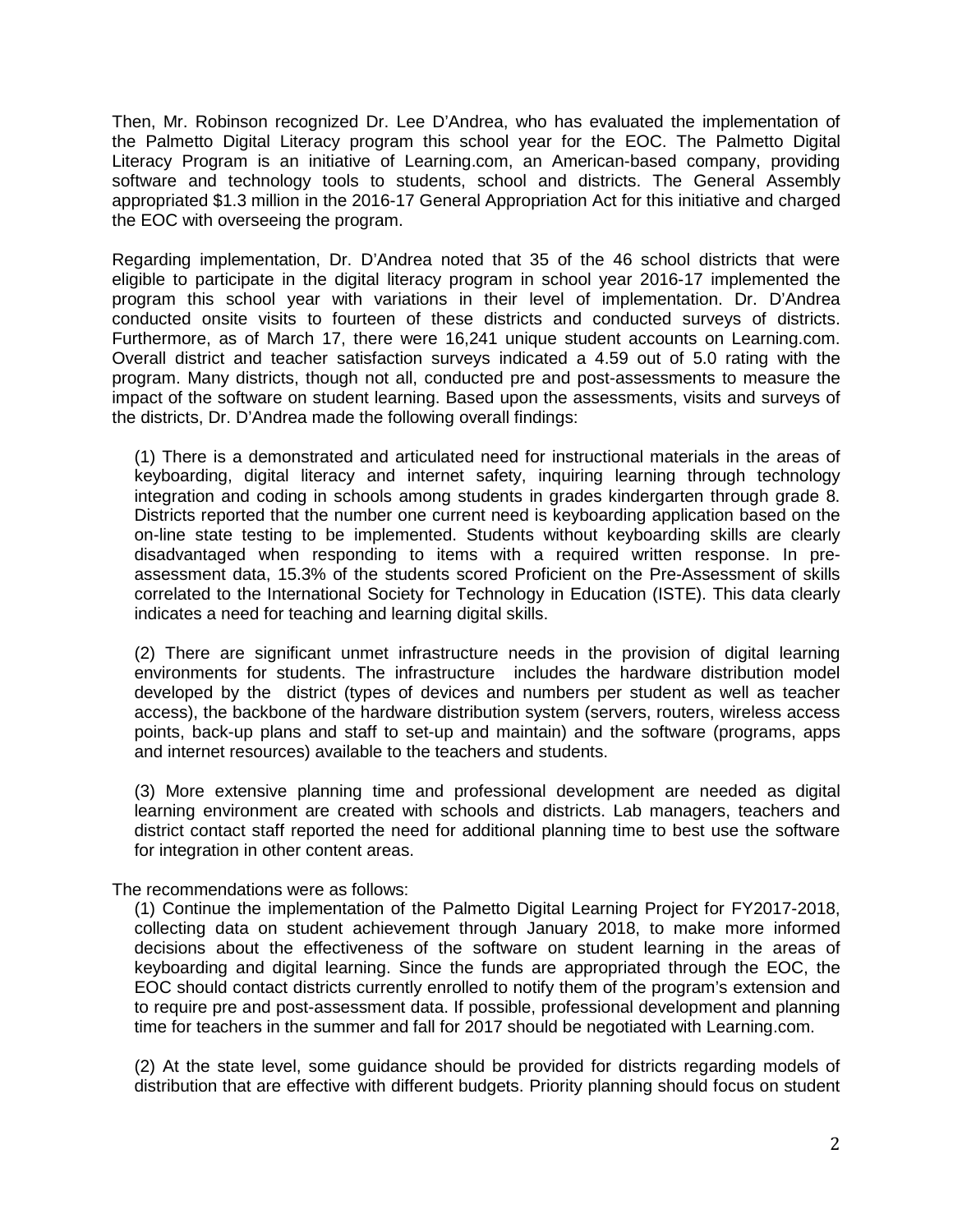Then, Mr. Robinson recognized Dr. Lee D'Andrea, who has evaluated the implementation of the Palmetto Digital Literacy program this school year for the EOC. The Palmetto Digital Literacy Program is an initiative of Learning.com, an American-based company, providing software and technology tools to students, school and districts. The General Assembly appropriated \$1.3 million in the 2016-17 General Appropriation Act for this initiative and charged the EOC with overseeing the program.

Regarding implementation, Dr. D'Andrea noted that 35 of the 46 school districts that were eligible to participate in the digital literacy program in school year 2016-17 implemented the program this school year with variations in their level of implementation. Dr. D'Andrea conducted onsite visits to fourteen of these districts and conducted surveys of districts. Furthermore, as of March 17, there were 16,241 unique student accounts on Learning.com. Overall district and teacher satisfaction surveys indicated a 4.59 out of 5.0 rating with the program. Many districts, though not all, conducted pre and post-assessments to measure the impact of the software on student learning. Based upon the assessments, visits and surveys of the districts, Dr. D'Andrea made the following overall findings:

(1) There is a demonstrated and articulated need for instructional materials in the areas of keyboarding, digital literacy and internet safety, inquiring learning through technology integration and coding in schools among students in grades kindergarten through grade 8. Districts reported that the number one current need is keyboarding application based on the on-line state testing to be implemented. Students without keyboarding skills are clearly disadvantaged when responding to items with a required written response. In preassessment data, 15.3% of the students scored Proficient on the Pre-Assessment of skills correlated to the International Society for Technology in Education (ISTE). This data clearly indicates a need for teaching and learning digital skills.

(2) There are significant unmet infrastructure needs in the provision of digital learning environments for students. The infrastructure includes the hardware distribution model developed by the district (types of devices and numbers per student as well as teacher access), the backbone of the hardware distribution system (servers, routers, wireless access points, back-up plans and staff to set-up and maintain) and the software (programs, apps and internet resources) available to the teachers and students.

(3) More extensive planning time and professional development are needed as digital learning environment are created with schools and districts. Lab managers, teachers and district contact staff reported the need for additional planning time to best use the software for integration in other content areas.

The recommendations were as follows:

(1) Continue the implementation of the Palmetto Digital Learning Project for FY2017-2018, collecting data on student achievement through January 2018, to make more informed decisions about the effectiveness of the software on student learning in the areas of keyboarding and digital learning. Since the funds are appropriated through the EOC, the EOC should contact districts currently enrolled to notify them of the program's extension and to require pre and post-assessment data. If possible, professional development and planning time for teachers in the summer and fall for 2017 should be negotiated with Learning.com.

(2) At the state level, some guidance should be provided for districts regarding models of distribution that are effective with different budgets. Priority planning should focus on student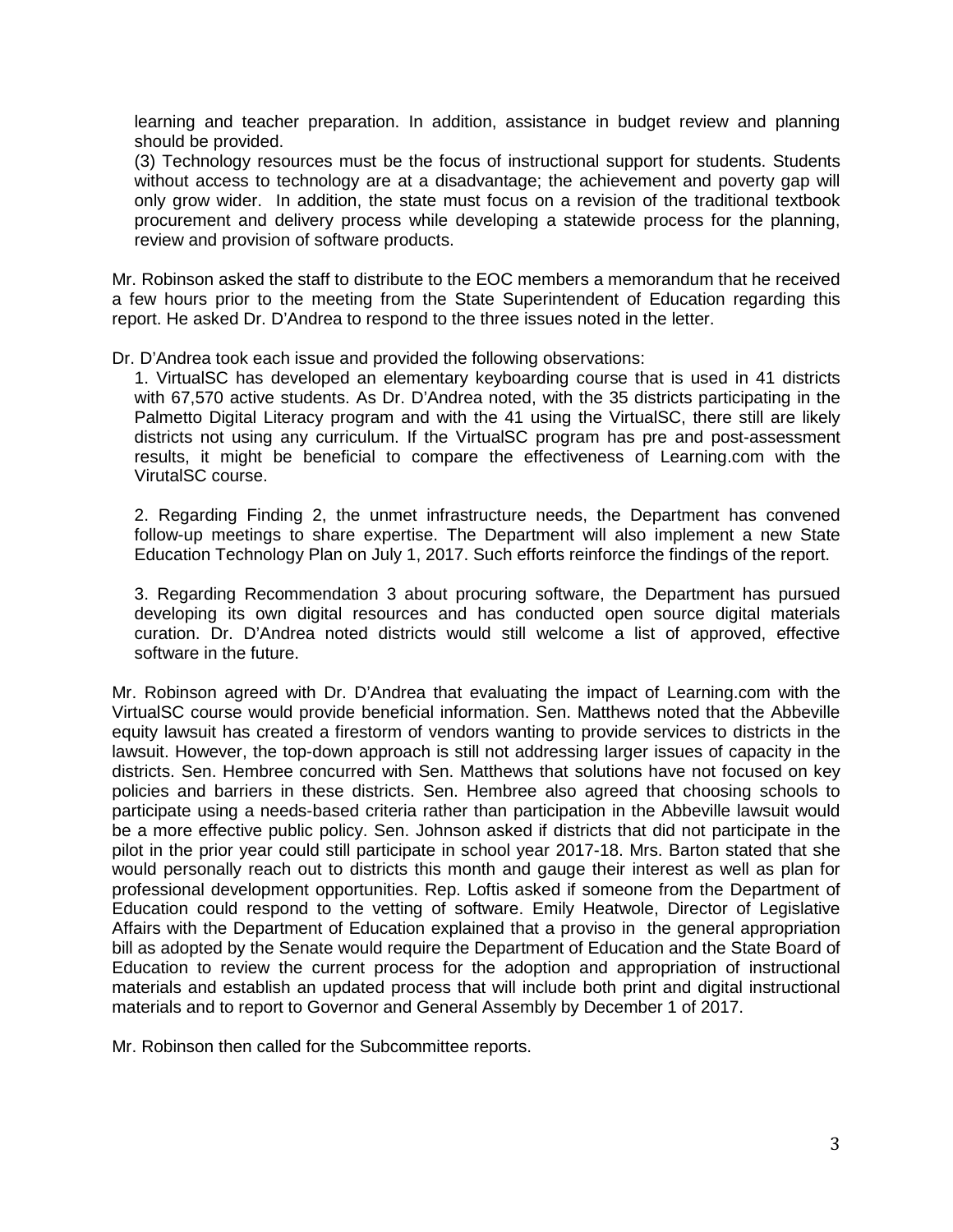learning and teacher preparation. In addition, assistance in budget review and planning should be provided.

(3) Technology resources must be the focus of instructional support for students. Students without access to technology are at a disadvantage; the achievement and poverty gap will only grow wider. In addition, the state must focus on a revision of the traditional textbook procurement and delivery process while developing a statewide process for the planning, review and provision of software products.

Mr. Robinson asked the staff to distribute to the EOC members a memorandum that he received a few hours prior to the meeting from the State Superintendent of Education regarding this report. He asked Dr. D'Andrea to respond to the three issues noted in the letter.

#### Dr. D'Andrea took each issue and provided the following observations:

1. VirtualSC has developed an elementary keyboarding course that is used in 41 districts with 67,570 active students. As Dr. D'Andrea noted, with the 35 districts participating in the Palmetto Digital Literacy program and with the 41 using the VirtualSC, there still are likely districts not using any curriculum. If the VirtualSC program has pre and post-assessment results, it might be beneficial to compare the effectiveness of Learning.com with the VirutalSC course.

2. Regarding Finding 2, the unmet infrastructure needs, the Department has convened follow-up meetings to share expertise. The Department will also implement a new State Education Technology Plan on July 1, 2017. Such efforts reinforce the findings of the report.

3. Regarding Recommendation 3 about procuring software, the Department has pursued developing its own digital resources and has conducted open source digital materials curation. Dr. D'Andrea noted districts would still welcome a list of approved, effective software in the future.

Mr. Robinson agreed with Dr. D'Andrea that evaluating the impact of Learning.com with the VirtualSC course would provide beneficial information. Sen. Matthews noted that the Abbeville equity lawsuit has created a firestorm of vendors wanting to provide services to districts in the lawsuit. However, the top-down approach is still not addressing larger issues of capacity in the districts. Sen. Hembree concurred with Sen. Matthews that solutions have not focused on key policies and barriers in these districts. Sen. Hembree also agreed that choosing schools to participate using a needs-based criteria rather than participation in the Abbeville lawsuit would be a more effective public policy. Sen. Johnson asked if districts that did not participate in the pilot in the prior year could still participate in school year 2017-18. Mrs. Barton stated that she would personally reach out to districts this month and gauge their interest as well as plan for professional development opportunities. Rep. Loftis asked if someone from the Department of Education could respond to the vetting of software. Emily Heatwole, Director of Legislative Affairs with the Department of Education explained that a proviso in the general appropriation bill as adopted by the Senate would require the Department of Education and the State Board of Education to review the current process for the adoption and appropriation of instructional materials and establish an updated process that will include both print and digital instructional materials and to report to Governor and General Assembly by December 1 of 2017.

Mr. Robinson then called for the Subcommittee reports.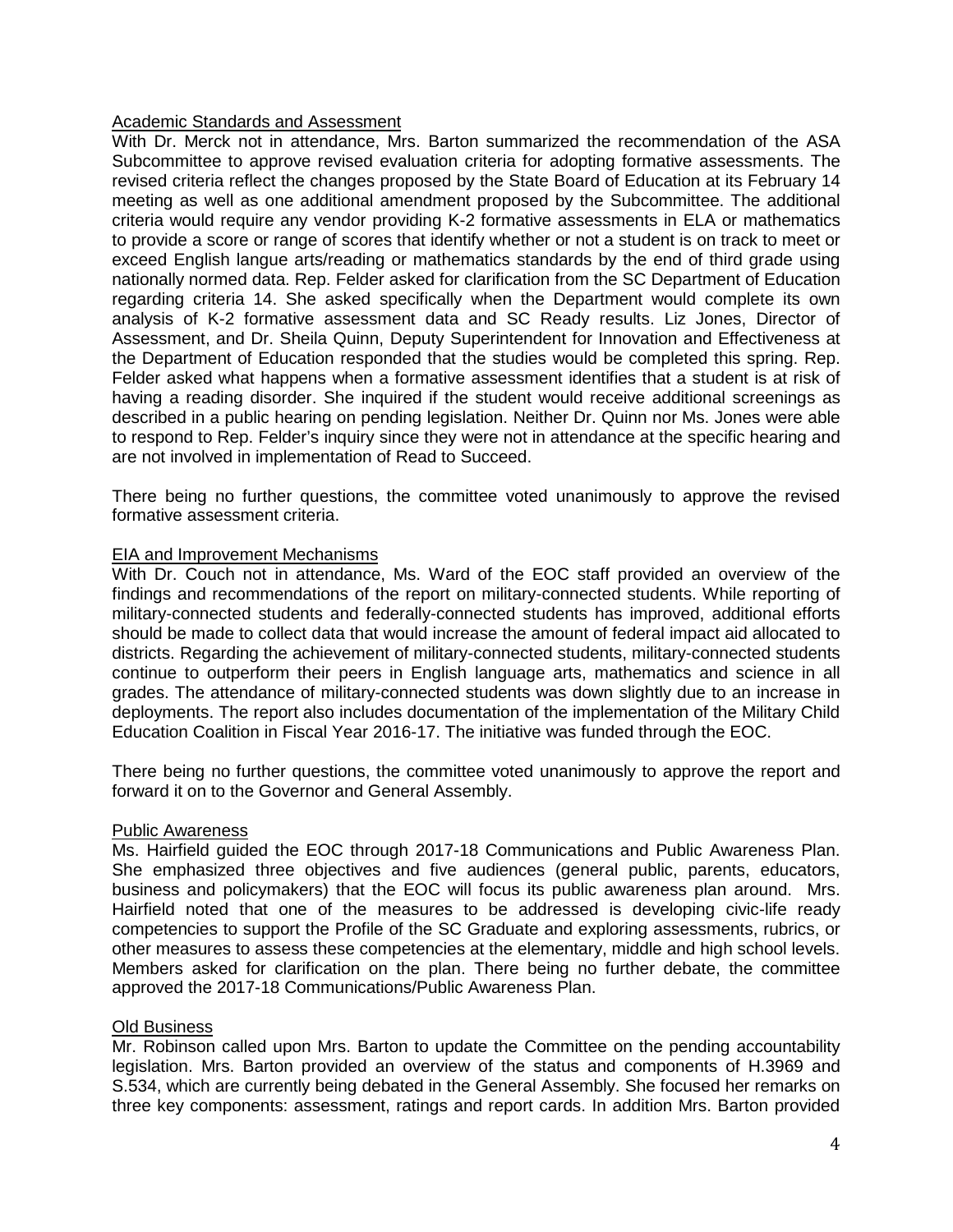# **Academic Standards and Assessment**

With Dr. Merck not in attendance, Mrs. Barton summarized the recommendation of the ASA Subcommittee to approve revised evaluation criteria for adopting formative assessments. The revised criteria reflect the changes proposed by the State Board of Education at its February 14 meeting as well as one additional amendment proposed by the Subcommittee. The additional criteria would require any vendor providing K-2 formative assessments in ELA or mathematics to provide a score or range of scores that identify whether or not a student is on track to meet or exceed English langue arts/reading or mathematics standards by the end of third grade using nationally normed data. Rep. Felder asked for clarification from the SC Department of Education regarding criteria 14. She asked specifically when the Department would complete its own analysis of K-2 formative assessment data and SC Ready results. Liz Jones, Director of Assessment, and Dr. Sheila Quinn, Deputy Superintendent for Innovation and Effectiveness at the Department of Education responded that the studies would be completed this spring. Rep. Felder asked what happens when a formative assessment identifies that a student is at risk of having a reading disorder. She inquired if the student would receive additional screenings as described in a public hearing on pending legislation. Neither Dr. Quinn nor Ms. Jones were able to respond to Rep. Felder's inquiry since they were not in attendance at the specific hearing and are not involved in implementation of Read to Succeed.

There being no further questions, the committee voted unanimously to approve the revised formative assessment criteria.

### EIA and Improvement Mechanisms

With Dr. Couch not in attendance, Ms. Ward of the EOC staff provided an overview of the findings and recommendations of the report on military-connected students. While reporting of military-connected students and federally-connected students has improved, additional efforts should be made to collect data that would increase the amount of federal impact aid allocated to districts. Regarding the achievement of military-connected students, military-connected students continue to outperform their peers in English language arts, mathematics and science in all grades. The attendance of military-connected students was down slightly due to an increase in deployments. The report also includes documentation of the implementation of the Military Child Education Coalition in Fiscal Year 2016-17. The initiative was funded through the EOC.

There being no further questions, the committee voted unanimously to approve the report and forward it on to the Governor and General Assembly.

#### Public Awareness

Ms. Hairfield guided the EOC through 2017-18 Communications and Public Awareness Plan. She emphasized three objectives and five audiences (general public, parents, educators, business and policymakers) that the EOC will focus its public awareness plan around. Mrs. Hairfield noted that one of the measures to be addressed is developing civic-life ready competencies to support the Profile of the SC Graduate and exploring assessments, rubrics, or other measures to assess these competencies at the elementary, middle and high school levels. Members asked for clarification on the plan. There being no further debate, the committee approved the 2017-18 Communications/Public Awareness Plan.

## Old Business

Mr. Robinson called upon Mrs. Barton to update the Committee on the pending accountability legislation. Mrs. Barton provided an overview of the status and components of H.3969 and S.534, which are currently being debated in the General Assembly. She focused her remarks on three key components: assessment, ratings and report cards. In addition Mrs. Barton provided